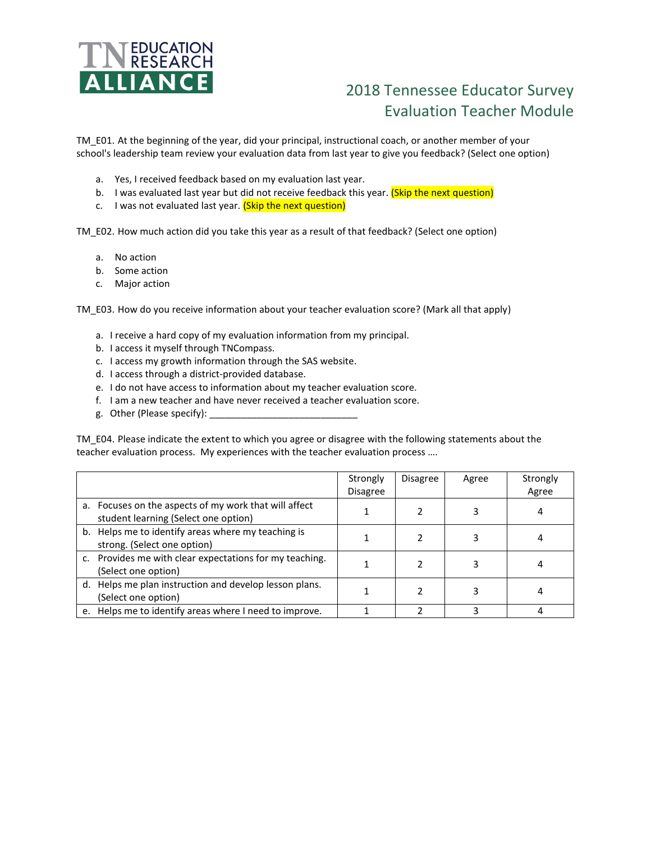

## 2018 Tennessee Educator Survey Evaluation Teacher Module

TM\_E01. At the beginning of the year, did your principal, instructional coach, or another member of your school's leadership team review your evaluation data from last year to give you feedback? (Select one option)

- a. Yes, I received feedback based on my evaluation last year.
- b. I was evaluated last year but did not receive feedback this year. (Skip the next question)
- c. I was not evaluated last year. (Skip the next question)

TM\_E02. How much action did you take this year as a result of that feedback? (Select one option)

- a. No action
- b. Some action
- c. Major action

TM E03. How do you receive information about your teacher evaluation score? (Mark all that apply)

- a. I receive a hard copy of my evaluation information from my principal.
- b. I access it myself through TNCompass.
- c. I access my growth information through the SAS website.
- d. I access through a district-provided database.
- e. I do not have access to information about my teacher evaluation score.
- f. I am a new teacher and have never received a teacher evaluation score.
- g. Other (Please specify):

TM\_E04. Please indicate the extent to which you agree or disagree with the following statements about the teacher evaluation process. My experiences with the teacher evaluation process ….

|                                                                                               | Strongly<br><b>Disagree</b> | <b>Disagree</b> | Agree | Strongly<br>Agree |
|-----------------------------------------------------------------------------------------------|-----------------------------|-----------------|-------|-------------------|
| a. Focuses on the aspects of my work that will affect<br>student learning (Select one option) |                             |                 |       |                   |
| b. Helps me to identify areas where my teaching is<br>strong. (Select one option)             |                             |                 |       |                   |
| c. Provides me with clear expectations for my teaching.<br>(Select one option)                |                             |                 |       |                   |
| d. Helps me plan instruction and develop lesson plans.<br>(Select one option)                 |                             |                 |       |                   |
| e. Helps me to identify areas where I need to improve.                                        |                             |                 |       |                   |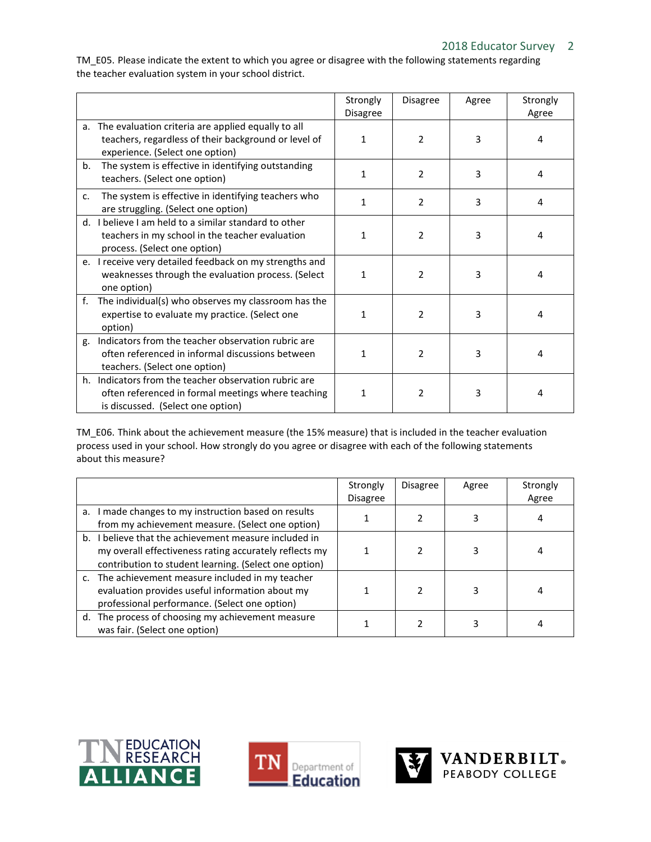TM\_E05. Please indicate the extent to which you agree or disagree with the following statements regarding the teacher evaluation system in your school district.

|                                                                                                                                                  | Strongly<br><b>Disagree</b> | Disagree       | Agree | Strongly<br>Agree |
|--------------------------------------------------------------------------------------------------------------------------------------------------|-----------------------------|----------------|-------|-------------------|
| a. The evaluation criteria are applied equally to all<br>teachers, regardless of their background or level of<br>experience. (Select one option) | 1                           | $\mathcal{P}$  | 3     | 4                 |
| The system is effective in identifying outstanding<br>b.<br>teachers. (Select one option)                                                        | 1                           | $\mathcal{P}$  | 3     | 4                 |
| The system is effective in identifying teachers who<br>$\mathsf{C}$ .<br>are struggling. (Select one option)                                     | 1                           | 2              | 3     | 4                 |
| d. I believe I am held to a similar standard to other<br>teachers in my school in the teacher evaluation<br>process. (Select one option)         | 1                           | $\overline{2}$ | 3     | 4                 |
| e. I receive very detailed feedback on my strengths and<br>weaknesses through the evaluation process. (Select<br>one option)                     | 1                           | 2              | 3     | 4                 |
| The individual(s) who observes my classroom has the<br>f.<br>expertise to evaluate my practice. (Select one<br>option)                           | 1                           | $\overline{2}$ | 3     | 4                 |
| g. Indicators from the teacher observation rubric are<br>often referenced in informal discussions between<br>teachers. (Select one option)       | 1                           | $\overline{2}$ | 3     | 4                 |
| h. Indicators from the teacher observation rubric are<br>often referenced in formal meetings where teaching<br>is discussed. (Select one option) | 1                           | $\overline{2}$ | 3     | 4                 |

TM\_E06. Think about the achievement measure (the 15% measure) that is included in the teacher evaluation process used in your school. How strongly do you agree or disagree with each of the following statements about this measure?

|                                                        | Strongly<br><b>Disagree</b> | <b>Disagree</b> | Agree | Strongly<br>Agree |
|--------------------------------------------------------|-----------------------------|-----------------|-------|-------------------|
|                                                        |                             |                 |       |                   |
| a. I made changes to my instruction based on results   |                             |                 |       |                   |
| from my achievement measure. (Select one option)       |                             |                 |       |                   |
| b. I believe that the achievement measure included in  |                             |                 |       |                   |
| my overall effectiveness rating accurately reflects my |                             |                 |       |                   |
| contribution to student learning. (Select one option)  |                             |                 |       |                   |
| c. The achievement measure included in my teacher      |                             |                 |       |                   |
| evaluation provides useful information about my        |                             |                 |       |                   |
| professional performance. (Select one option)          |                             |                 |       |                   |
| d. The process of choosing my achievement measure      |                             |                 |       |                   |
| was fair. (Select one option)                          |                             |                 |       |                   |





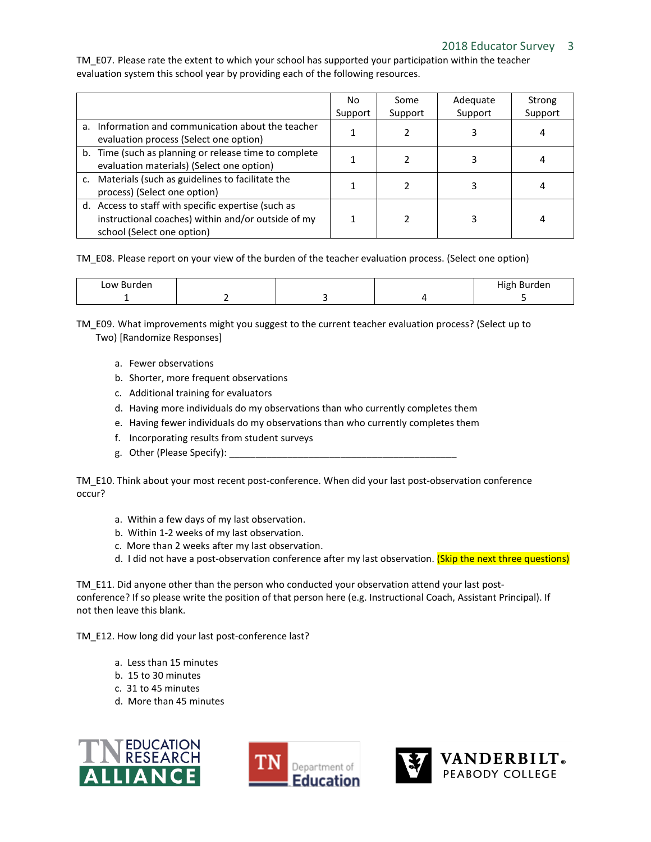## 2018 Educator Survey 3

TM\_E07. Please rate the extent to which your school has supported your participation within the teacher evaluation system this school year by providing each of the following resources.

|                                                                                                                                         | No.<br>Support | Some<br>Support | Adequate<br>Support | Strong<br>Support |
|-----------------------------------------------------------------------------------------------------------------------------------------|----------------|-----------------|---------------------|-------------------|
| a. Information and communication about the teacher<br>evaluation process (Select one option)                                            |                |                 |                     |                   |
| b. Time (such as planning or release time to complete<br>evaluation materials) (Select one option)                                      |                |                 |                     |                   |
| c. Materials (such as guidelines to facilitate the<br>process) (Select one option)                                                      |                |                 |                     |                   |
| d. Access to staff with specific expertise (such as<br>instructional coaches) within and/or outside of my<br>school (Select one option) |                |                 |                     |                   |

TM\_E08. Please report on your view of the burden of the teacher evaluation process. (Select one option)

| Low Burden |  | $\cdots$<br>Burden<br>High |
|------------|--|----------------------------|
|            |  |                            |

TM\_E09. What improvements might you suggest to the current teacher evaluation process? (Select up to Two) [Randomize Responses]

- a. Fewer observations
- b. Shorter, more frequent observations
- c. Additional training for evaluators
- d. Having more individuals do my observations than who currently completes them
- e. Having fewer individuals do my observations than who currently completes them
- f. Incorporating results from student surveys
- g. Other (Please Specify):

TM\_E10. Think about your most recent post-conference. When did your last post-observation conference occur?

- a. Within a few days of my last observation.
- b. Within 1-2 weeks of my last observation.
- c. More than 2 weeks after my last observation.
- d. I did not have a post-observation conference after my last observation. (Skip the next three questions)

TM\_E11. Did anyone other than the person who conducted your observation attend your last postconference? If so please write the position of that person here (e.g. Instructional Coach, Assistant Principal). If not then leave this blank.

TM\_E12. How long did your last post-conference last?

- a. Less than 15 minutes
- b. 15 to 30 minutes
- c. 31 to 45 minutes
- d. More than 45 minutes